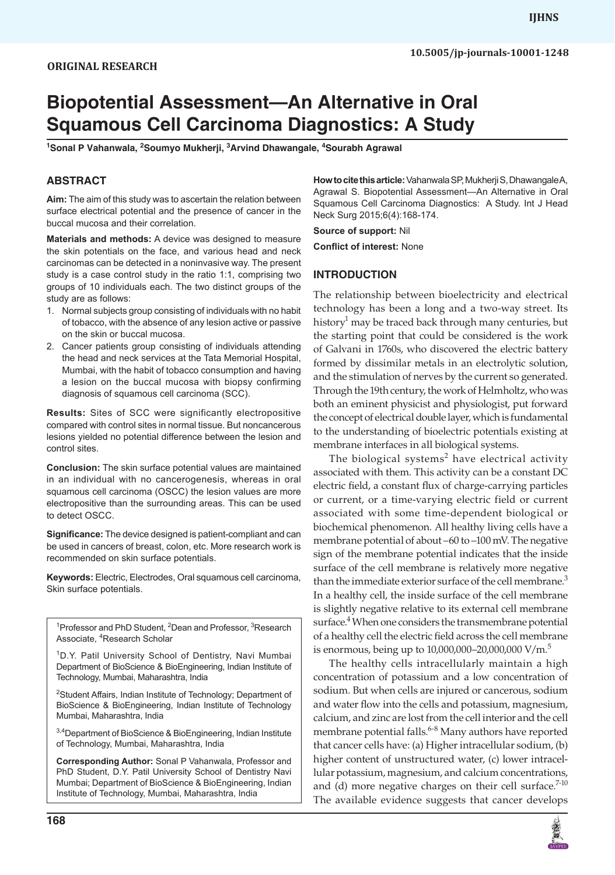# **Biopotential Assessment—An Alternative in Oral Squamous Cell Carcinoma Diagnostics: A Study**

<sup>1</sup>Sonal P Vahanwala, <sup>2</sup>Soumyo Mukherji, <sup>3</sup>Arvind Dhawangale, <sup>4</sup>Sourabh Agrawal

# **ABSTRACT**

**Aim:** The aim of this study was to ascertain the relation between surface electrical potential and the presence of cancer in the buccal mucosa and their correlation.

**Materials and methods:** A device was designed to measure the skin potentials on the face, and various head and neck carcinomas can be detected in a noninvasive way. The present study is a case control study in the ratio 1:1, comprising two groups of 10 individuals each. The two distinct groups of the study are as follows:

- 1. Normal subjects group consisting of individuals with no habit of tobacco, with the absence of any lesion active or passive on the skin or buccal mucosa.
- 2. Cancer patients group consisting of individuals attending the head and neck services at the Tata Memorial Hospital, Mumbai, with the habit of tobacco consumption and having a lesion on the buccal mucosa with biopsy confirming diagnosis of squamous cell carcinoma (SCC).

**Results:** Sites of SCC were significantly electropositive compared with control sites in normal tissue. But noncancerous lesions yielded no potential difference between the lesion and control sites.

**Conclusion:** The skin surface potential values are maintained in an individual with no cancerogenesis, whereas in oral squamous cell carcinoma (OSCC) the lesion values are more electropositive than the surrounding areas. This can be used to detect OSCC.

**Significance:** The device designed is patient-compliant and can be used in cancers of breast, colon, etc. More research work is recommended on skin surface potentials.

**Keywords:** Electric, Electrodes, Oral squamous cell carcinoma, Skin surface potentials.

<sup>1</sup> Professor and PhD Student, <sup>2</sup> Dean and Professor, <sup>3</sup> Research Associate, <sup>4</sup>Research Scholar

<sup>1</sup>D.Y. Patil University School of Dentistry, Navi Mumbai Department of BioScience & BioEngineering, Indian Institute of Technology, Mumbai, Maharashtra, India

<sup>2</sup>Student Affairs, Indian Institute of Technology; Department of BioScience & BioEngineering, Indian Institute of Technology Mumbai, Maharashtra, India

<sup>3,4</sup>Department of BioScience & BioEngineering, Indian Institute of Technology, Mumbai, Maharashtra, India

**Corresponding Author:** Sonal P Vahanwala, Professor and PhD Student, D.Y. Patil University School of Dentistry Navi Mumbai; Department of BioScience & BioEngineering, Indian Institute of Technology, Mumbai, Maharashtra, India

**How to cite this article:**Vahanwala SP, Mukherji S, Dhawangale A, Agrawal S. Biopotential Assessment—An Alternative in Oral Squamous Cell Carcinoma Diagnostics: A Study. Int J Head Neck Surg 2015;6(4):168-174.

**Source of support:** Nil

**Conflict of interest:** None

## **INTRODUCTION**

The relationship between bioelectricity and electrical technology has been a long and a two-way street. Its history<sup>1</sup> may be traced back through many centuries, but the starting point that could be considered is the work of Galvani in 1760s, who discovered the electric battery formed by dissimilar metals in an electrolytic solution, and the stimulation of nerves by the current so generated. Through the 19th century, the work of Helmholtz, who was both an eminent physicist and physiologist, put forward the concept of electrical double layer, which is fundamental to the understanding of bioelectric potentials existing at membrane interfaces in all biological systems.

The biological systems<sup>2</sup> have electrical activity associated with them. This activity can be a constant DC electric field, a constant flux of charge-carrying particles or current, or a time-varying electric field or current associated with some time-dependent biological or biochemical phenomenon. All healthy living cells have a membrane potential of about –60 to –100 mV. The negative sign of the membrane potential indicates that the inside surface of the cell membrane is relatively more negative than the immediate exterior surface of the cell membrane.<sup>3</sup> In a healthy cell, the inside surface of the cell membrane is slightly negative relative to its external cell membrane surface.<sup>4</sup> When one considers the transmembrane potential of a healthy cell the electric field across the cell membrane is enormous, being up to  $10,000,000-20,000,000$  V/m.<sup>5</sup>

The healthy cells intracellularly maintain a high concentration of potassium and a low concentration of sodium. But when cells are injured or cancerous, sodium and water flow into the cells and potassium, magnesium, calcium, and zinc are lost from the cell interior and the cell membrane potential falls.<sup>6-8</sup> Many authors have reported that cancer cells have: (a) Higher intracellular sodium, (b) higher content of unstructured water, (c) lower intracellular potassium, magnesium, and calcium concentrations, and (d) more negative charges on their cell surface. $7-10$ The available evidence suggests that cancer develops

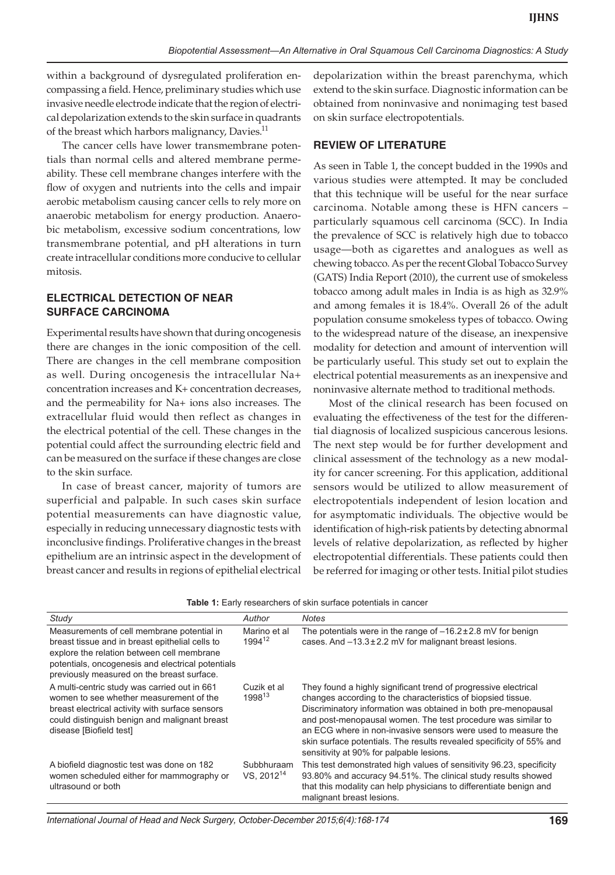within a background of dysregulated proliferation encompassing a field. Hence, preliminary studies which use invasive needle electrode indicate that the region of electrical depolarization extends to the skin surface in quadrants of the breast which harbors malignancy, Davies.<sup>11</sup>

The cancer cells have lower transmembrane potentials than normal cells and altered membrane permeability. These cell membrane changes interfere with the flow of oxygen and nutrients into the cells and impair aerobic metabolism causing cancer cells to rely more on anaerobic metabolism for energy production. Anaerobic metabolism, excessive sodium concentrations, low transmembrane potential, and pH alterations in turn create intracellular conditions more conducive to cellular mitosis.

# **ELECTRICAL DETECTION OF NEAR SURFACE CARCINOMA**

Experimental results have shown that during oncogenesis there are changes in the ionic composition of the cell. There are changes in the cell membrane composition as well. During oncogenesis the intracellular Na+ concentration increases and K+ concentration decreases, and the permeability for Na+ ions also increases. The extracellular fluid would then reflect as changes in the electrical potential of the cell. These changes in the potential could affect the surrounding electric field and can be measured on the surface if these changes are close to the skin surface.

In case of breast cancer, majority of tumors are superficial and palpable. In such cases skin surface potential measurements can have diagnostic value, especially in reducing unnecessary diagnostic tests with inconclusive findings. Proliferative changes in the breast epithelium are an intrinsic aspect in the development of breast cancer and results in regions of epithelial electrical

depolarization within the breast parenchyma, which extend to the skin surface. Diagnostic information can be obtained from noninvasive and nonimaging test based on skin surface electropotentials.

## **REVIEW OF LITERATURE**

As seen in Table 1, the concept budded in the 1990s and various studies were attempted. It may be concluded that this technique will be useful for the near surface carcinoma. Notable among these is HFN cancers – particularly squamous cell carcinoma (SCC). In India the prevalence of SCC is relatively high due to tobacco usage—both as cigarettes and analogues as well as chewing tobacco. As per the recent Global Tobacco Survey (GATS) India Report (2010), the current use of smokeless tobacco among adult males in India is as high as 32.9% and among females it is 18.4%. Overall 26 of the adult population consume smokeless types of tobacco. Owing to the widespread nature of the disease, an inexpensive modality for detection and amount of intervention will be particularly useful. This study set out to explain the electrical potential measurements as an inexpensive and noninvasive alternate method to traditional methods.

Most of the clinical research has been focused on evaluating the effectiveness of the test for the differential diagnosis of localized suspicious cancerous lesions. The next step would be for further development and clinical assessment of the technology as a new modality for cancer screening. For this application, additional sensors would be utilized to allow measurement of electropotentials independent of lesion location and for asymptomatic individuals. The objective would be identification of high-risk patients by detecting abnormal levels of relative depolarization, as reflected by higher electropotential differentials. These patients could then be referred for imaging or other tests. Initial pilot studies

| Table 1: Early researchers of skin surface potentials in cancer |  |  |  |  |
|-----------------------------------------------------------------|--|--|--|--|
|-----------------------------------------------------------------|--|--|--|--|

| Study                                                                                                                                                                                                                                          | Author                               | <b>Notes</b>                                                                                                                                                                                                                                                                                                                                                                                                                                           |
|------------------------------------------------------------------------------------------------------------------------------------------------------------------------------------------------------------------------------------------------|--------------------------------------|--------------------------------------------------------------------------------------------------------------------------------------------------------------------------------------------------------------------------------------------------------------------------------------------------------------------------------------------------------------------------------------------------------------------------------------------------------|
| Measurements of cell membrane potential in<br>breast tissue and in breast epithelial cells to<br>explore the relation between cell membrane<br>potentials, oncogenesis and electrical potentials<br>previously measured on the breast surface. | Marino et al<br>1994 <sup>12</sup>   | The potentials were in the range of $-16.2 \pm 2.8$ mV for benign<br>cases. And -13.3 ± 2.2 mV for malignant breast lesions.                                                                                                                                                                                                                                                                                                                           |
| A multi-centric study was carried out in 661<br>women to see whether measurement of the<br>breast electrical activity with surface sensors<br>could distinguish benign and malignant breast<br>disease [Biofield test]                         | Cuzik et al<br>$1998^{13}$           | They found a highly significant trend of progressive electrical<br>changes according to the characteristics of biopsied tissue.<br>Discriminatory information was obtained in both pre-menopausal<br>and post-menopausal women. The test procedure was similar to<br>an ECG where in non-invasive sensors were used to measure the<br>skin surface potentials. The results revealed specificity of 55% and<br>sensitivity at 90% for palpable lesions. |
| A biofield diagnostic test was done on 182<br>women scheduled either for mammography or<br>ultrasound or both                                                                                                                                  | Subbhuraam<br>VS. 2012 <sup>14</sup> | This test demonstrated high values of sensitivity 96.23, specificity<br>93.80% and accuracy 94.51%. The clinical study results showed<br>that this modality can help physicians to differentiate benign and<br>malignant breast lesions.                                                                                                                                                                                                               |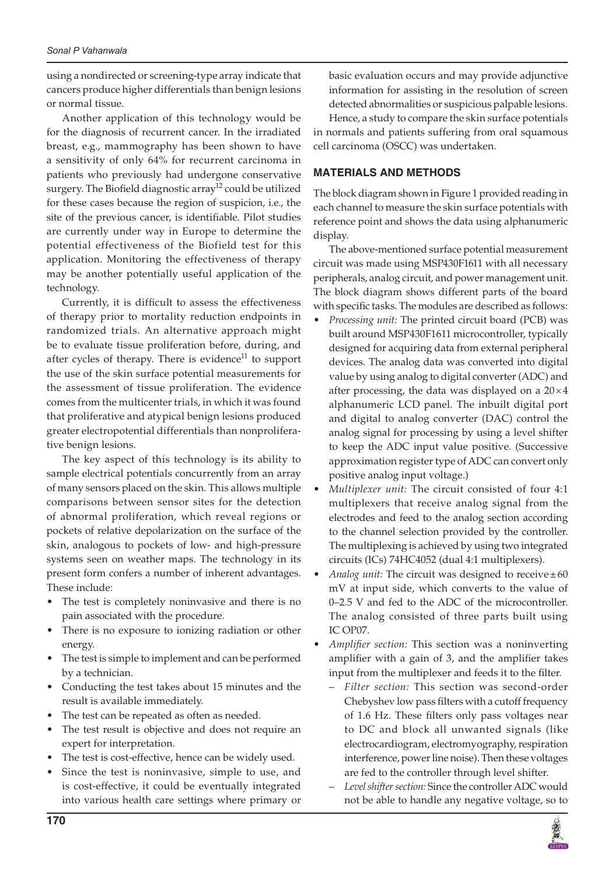using a nondirected or screening-type array indicate that cancers produce higher differentials than benign lesions or normal tissue.

Another application of this technology would be for the diagnosis of recurrent cancer. In the irradiated breast, e.g., mammography has been shown to have a sensitivity of only 64% for recurrent carcinoma in patients who previously had undergone conservative surgery. The Biofield diagnostic array<sup>12</sup> could be utilized for these cases because the region of suspicion, i.e., the site of the previous cancer, is identifiable. Pilot studies are currently under way in Europe to determine the potential effectiveness of the Biofield test for this application. Monitoring the effectiveness of therapy may be another potentially useful application of the technology.

Currently, it is difficult to assess the effectiveness of therapy prior to mortality reduction endpoints in randomized trials. An alternative approach might be to evaluate tissue proliferation before, during, and after cycles of therapy. There is evidence $11$  to support the use of the skin surface potential measurements for the assessment of tissue proliferation. The evidence comes from the multicenter trials, in which it was found that proliferative and atypical benign lesions produced greater electropotential differentials than nonproliferative benign lesions.

The key aspect of this technology is its ability to sample electrical potentials concurrently from an array of many sensors placed on the skin. This allows multiple comparisons between sensor sites for the detection of abnormal proliferation, which reveal regions or pockets of relative depolarization on the surface of the skin, analogous to pockets of low- and high-pressure systems seen on weather maps. The technology in its present form confers a number of inherent advantages. These include:

- The test is completely noninvasive and there is no pain associated with the procedure.
- There is no exposure to ionizing radiation or other energy.
- The test is simple to implement and can be performed by a technician.
- Conducting the test takes about 15 minutes and the result is available immediately.
- The test can be repeated as often as needed.
- The test result is objective and does not require an expert for interpretation.
- The test is cost-effective, hence can be widely used.
- Since the test is noninvasive, simple to use, and is cost-effective, it could be eventually integrated into various health care settings where primary or

basic evaluation occurs and may provide adjunctive information for assisting in the resolution of screen detected abnormalities or suspicious palpable lesions.

Hence, a study to compare the skin surface potentials in normals and patients suffering from oral squamous cell carcinoma (OSCC) was undertaken.

## **MATERIALS AND METHODS**

The block diagram shown in Figure 1 provided reading in each channel to measure the skin surface potentials with reference point and shows the data using alphanumeric display.

The above-mentioned surface potential measurement circuit was made using MSP430F1611 with all necessary peripherals, analog circuit, and power management unit. The block diagram shows different parts of the board with specific tasks. The modules are described as follows:

- • *Processing unit:* The printed circuit board (PCB) was built around MSP430F1611 microcontroller, typically designed for acquiring data from external peripheral devices. The analog data was converted into digital value by using analog to digital converter (ADC) and after processing, the data was displayed on a  $20\times4$ alphanumeric LCD panel. The inbuilt digital port and digital to analog converter (DAC) control the analog signal for processing by using a level shifter to keep the ADC input value positive. (Successive approximation register type of ADC can convert only positive analog input voltage.)
- • *Multiplexer unit:* The circuit consisted of four 4:1 multiplexers that receive analog signal from the electrodes and feed to the analog section according to the channel selection provided by the controller. The multiplexing is achieved by using two integrated circuits (ICs) 74HC4052 (dual 4:1 multiplexers).
- Analog unit: The circuit was designed to receive $\pm 60$ mV at input side, which converts to the value of 0–2.5 V and fed to the ADC of the microcontroller. The analog consisted of three parts built using IC OP07.
- Amplifier section: This section was a noninverting amplifier with a gain of 3, and the amplifier takes input from the multiplexer and feeds it to the filter.
	- *Filter section:* This section was second-order Chebyshev low pass filters with a cutoff frequency of 1.6 Hz. These filters only pass voltages near to DC and block all unwanted signals (like electrocardiogram, electromyography, respiration interference, power line noise). Then these voltages are fed to the controller through level shifter.
	- *Level shifter section:* Since the controller ADC would not be able to handle any negative voltage, so to

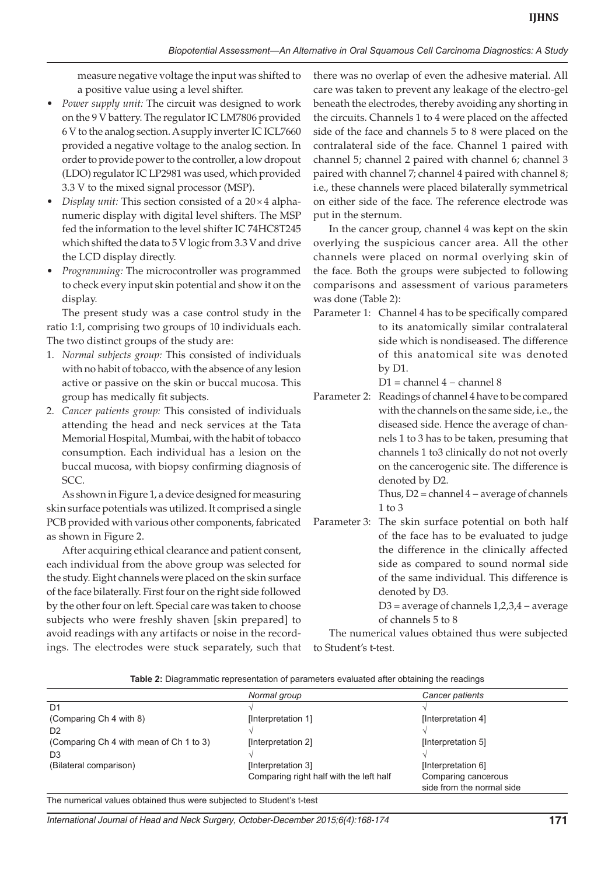measure negative voltage the input was shifted to a positive value using a level shifter.

- Power supply unit: The circuit was designed to work on the 9 V battery. The regulator IC LM7806 provided 6 V to the analog section. A supply inverter IC ICL7660 provided a negative voltage to the analog section. In order to provide power to the controller, a low dropout (LDO) regulator IC LP2981 was used, which provided 3.3 V to the mixed signal processor (MSP).
- *Display unit:* This section consisted of a  $20 \times 4$  alphanumeric display with digital level shifters. The MSP fed the information to the level shifter IC 74HC8T245 which shifted the data to 5 V logic from 3.3 V and drive the LCD display directly.
- Programming: The microcontroller was programmed to check every input skin potential and show it on the display.

The present study was a case control study in the ratio 1:1, comprising two groups of 10 individuals each. The two distinct groups of the study are:

- 1. *Normal subjects group:* This consisted of individuals with no habit of tobacco, with the absence of any lesion active or passive on the skin or buccal mucosa. This group has medically fit subjects.
- 2. *Cancer patients group:* This consisted of individuals attending the head and neck services at the Tata Memorial Hospital, Mumbai, with the habit of tobacco consumption. Each individual has a lesion on the buccal mucosa, with biopsy confirming diagnosis of SCC.

As shown in Figure 1, a device designed for measuring skin surface potentials was utilized. It comprised a single PCB provided with various other components, fabricated as shown in Figure 2.

After acquiring ethical clearance and patient consent, each individual from the above group was selected for the study. Eight channels were placed on the skin surface of the face bilaterally. First four on the right side followed by the other four on left. Special care was taken to choose subjects who were freshly shaven [skin prepared] to avoid readings with any artifacts or noise in the recordings. The electrodes were stuck separately, such that

there was no overlap of even the adhesive material. All care was taken to prevent any leakage of the electro-gel beneath the electrodes, thereby avoiding any shorting in the circuits. Channels 1 to 4 were placed on the affected side of the face and channels 5 to 8 were placed on the contralateral side of the face. Channel 1 paired with channel 5; channel 2 paired with channel 6; channel 3 paired with channel 7; channel 4 paired with channel 8; i.e., these channels were placed bilaterally symmetrical on either side of the face. The reference electrode was put in the sternum.

In the cancer group, channel 4 was kept on the skin overlying the suspicious cancer area. All the other channels were placed on normal overlying skin of the face. Both the groups were subjected to following comparisons and assessment of various parameters was done (Table 2):

Parameter 1: Channel 4 has to be specifically compared to its anatomically similar contralateral side which is nondiseased. The difference of this anatomical site was denoted by D1.

D1 = channel 4 − channel 8

Parameter 2: Readings of channel 4 have to be compared with the channels on the same side, i.e., the diseased side. Hence the average of channels 1 to 3 has to be taken, presuming that channels 1 to3 clinically do not not overly on the cancerogenic site. The difference is denoted by D2.

 Thus, D2 = channel 4 − average of channels 1 to 3

Parameter 3: The skin surface potential on both half of the face has to be evaluated to judge the difference in the clinically affected side as compared to sound normal side of the same individual. This difference is denoted by D3.

> D3 = average of channels 1,2,3,4 − average of channels 5 to 8

The numerical values obtained thus were subjected to Student's t-test.

|  |  | Table 2: Diagrammatic representation of parameters evaluated after obtaining the readings |  |  |  |  |  |
|--|--|-------------------------------------------------------------------------------------------|--|--|--|--|--|
|--|--|-------------------------------------------------------------------------------------------|--|--|--|--|--|

|                                         | Normal group                            | Cancer patients                                  |
|-----------------------------------------|-----------------------------------------|--------------------------------------------------|
| D1                                      |                                         |                                                  |
| (Comparing Ch 4 with 8)                 | [Interpretation 1]                      | [Interpretation 4]                               |
| D <sub>2</sub>                          |                                         |                                                  |
| (Comparing Ch 4 with mean of Ch 1 to 3) | [Interpretation 2]                      | [Interpretation 5]                               |
| D <sub>3</sub>                          |                                         |                                                  |
| (Bilateral comparison)                  | [Interpretation 3]                      | [Interpretation 6]                               |
|                                         | Comparing right half with the left half | Comparing cancerous<br>side from the normal side |

The numerical values obtained thus were subjected to Student's t-test

*International Journal of Head and Neck Surgery, October-December 2015;6(4):168-174* **171**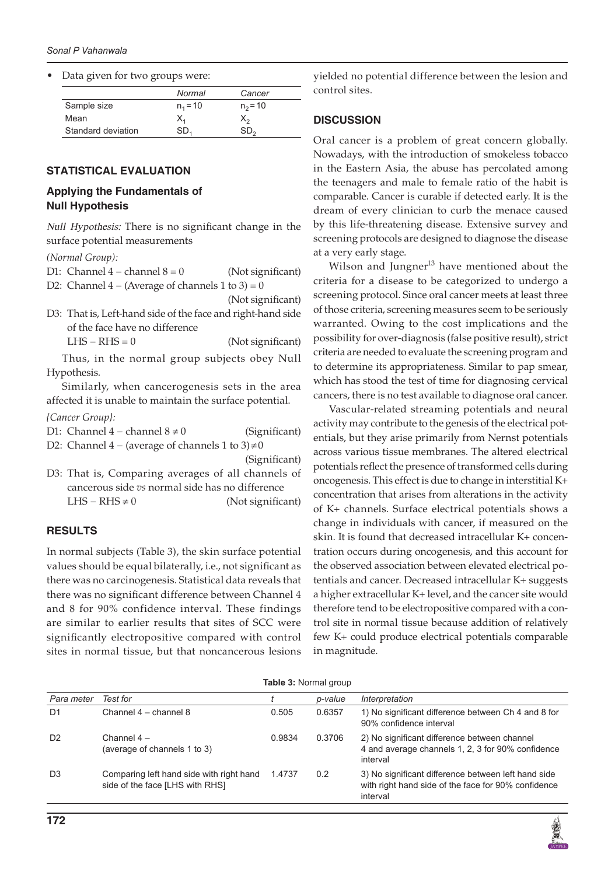Data given for two groups were:

|                    | Normal     | Cancer     |
|--------------------|------------|------------|
| Sample size        | $n_1 = 10$ | $n_2$ = 10 |
| Mean               | х,         | х.,        |
| Standard deviation | SD.        | SD-        |

#### **STATISTICAL EVALUATION**

## **Applying the Fundamentals of Null Hypothesis**

Null Hypothesis: There is no significant change in the surface potential measurements

*(Normal Group):*

| D1: Channel $4$ – channel $8 = 0$                           | (Not significant) |              |
|-------------------------------------------------------------|-------------------|--------------|
| D2: Channel $4 - (Average of channels 1 to 3) = 0$          |                   | $\mathsf{C}$ |
|                                                             | (Not significant) | S            |
| D3: That is, Left-hand side of the face and right-hand side |                   | $\mathbf C$  |
| of the face have no difference                              |                   | $\mathbf V$  |
| $LHS - RHS = 0$                                             | (Not significant) | p            |
| Thus, in the normal group subjects obey Null                |                   | $\mathsf{C}$ |
| Hypothesis.                                                 |                   | t            |
| Similarly, when cancerogenesis sets in the area             |                   | $\bar{V}$    |
| affected it is unable to maintain the surface potential.    |                   | $\mathsf{C}$ |
| {Cancer Group}:                                             |                   |              |
| D1: Channel $4$ – channel $8 \neq 0$                        | (Significant)     | a            |
| D2: Channel $4 - (average of channels 1 to 3) \neq 0$       |                   | e            |
|                                                             | (Significant)     | a            |
| D3: That is, Comparing averages of all channels of          |                   | F            |
| cancerous side vs normal side has no difference             |                   | $\mathbf C$  |
| LHS – RHS $\neq$ 0                                          | (Not significant) | $\mathsf{C}$ |
|                                                             |                   | $\mathbf C$  |
|                                                             |                   |              |

## **RESULTS**

In normal subjects (Table 3), the skin surface potential values should be equal bilaterally, i.e., not significant as there was no carcinogenesis. Statistical data reveals that there was no significant difference between Channel 4 and 8 for 90% confidence interval. These findings are similar to earlier results that sites of SCC were significantly electropositive compared with control sites in normal tissue, but that noncancerous lesions yielded no potential difference between the lesion and control sites.

#### **DISCUSSION**

Oral cancer is a problem of great concern globally. Nowadays, with the introduction of smokeless tobacco in the Eastern Asia, the abuse has percolated among the teenagers and male to female ratio of the habit is comparable. Cancer is curable if detected early. It is the dream of every clinician to curb the menace caused by this life-threatening disease. Extensive survey and screening protocols are designed to diagnose the disease at a very early stage.

Wilson and Jungner $13$  have mentioned about the criteria for a disease to be categorized to undergo a screening protocol. Since oral cancer meets at least three of those criteria, screening measures seem to be seriously warranted. Owing to the cost implications and the possibility for over-diagnosis (false positive result), strict criteria are needed to evaluate the screening program and o determine its appropriateness. Similar to pap smear, which has stood the test of time for diagnosing cervical cancers, there is no test available to diagnose oral cancer.

Vascular-related streaming potentials and neural activity may contribute to the genesis of the electrical potentials, but they arise primarily from Nernst potentials across various tissue membranes. The altered electrical potentials reflect the presence of transformed cells during oncogenesis. This effect is due to change in interstitial K+ concentration that arises from alterations in the activity of K+ channels. Surface electrical potentials shows a change in individuals with cancer, if measured on the skin. It is found that decreased intracellular K+ concentration occurs during oncogenesis, and this account for the observed association between elevated electrical potentials and cancer. Decreased intracellular K+ suggests a higher extracellular K+ level, and the cancer site would therefore tend to be electropositive compared with a control site in normal tissue because addition of relatively few K+ could produce electrical potentials comparable in magnitude.

| Table 3: Normal group |
|-----------------------|
|-----------------------|

| Para meter     | Test for                                                                    |        | p-value       | Interpretation                                                                                                         |
|----------------|-----------------------------------------------------------------------------|--------|---------------|------------------------------------------------------------------------------------------------------------------------|
| D <sub>1</sub> | Channel 4 – channel 8                                                       | 0.505  | 0.6357        | 1) No significant difference between Ch 4 and 8 for<br>90% confidence interval                                         |
| D <sub>2</sub> | Channel $4-$<br>(average of channels 1 to 3)                                | 0.9834 | 0.3706        | 2) No significant difference between channel<br>4 and average channels 1, 2, 3 for 90% confidence<br>interval          |
| D <sub>3</sub> | Comparing left hand side with right hand<br>side of the face [LHS with RHS] | 1.4737 | $0.2^{\circ}$ | 3) No significant difference between left hand side<br>with right hand side of the face for 90% confidence<br>interval |

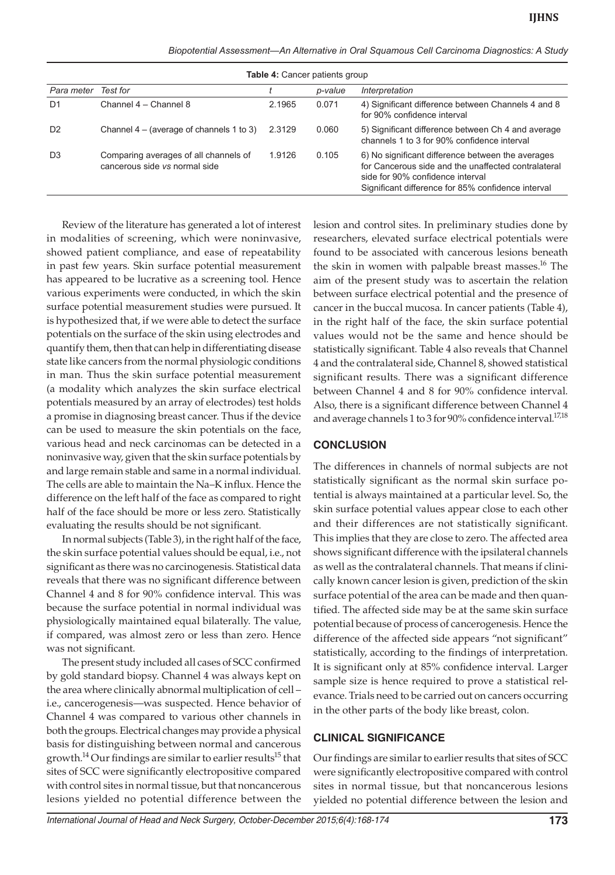| Biopotential Assessment—An Alternative in Oral Squamous Cell Carcinoma Diagnostics: A Study |  |  |  |
|---------------------------------------------------------------------------------------------|--|--|--|
|---------------------------------------------------------------------------------------------|--|--|--|

| <b>Table 4: Cancer patients group</b> |                                                                        |        |         |                                                                                                                                                                                                    |
|---------------------------------------|------------------------------------------------------------------------|--------|---------|----------------------------------------------------------------------------------------------------------------------------------------------------------------------------------------------------|
| Para meter                            | Test for                                                               |        | p-value | Interpretation                                                                                                                                                                                     |
| D <sub>1</sub>                        | Channel 4 - Channel 8                                                  | 2.1965 | 0.071   | 4) Significant difference between Channels 4 and 8<br>for 90% confidence interval                                                                                                                  |
| D <sub>2</sub>                        | Channel 4 – (average of channels 1 to 3)                               | 2.3129 | 0.060   | 5) Significant difference between Ch 4 and average<br>channels 1 to 3 for 90% confidence interval                                                                                                  |
| D <sub>3</sub>                        | Comparing averages of all channels of<br>cancerous side vs normal side | 1.9126 | 0.105   | 6) No significant difference between the averages<br>for Cancerous side and the unaffected contralateral<br>side for 90% confidence interval<br>Significant difference for 85% confidence interval |

Review of the literature has generated a lot of interest in modalities of screening, which were noninvasive, showed patient compliance, and ease of repeatability in past few years. Skin surface potential measurement has appeared to be lucrative as a screening tool. Hence various experiments were conducted, in which the skin surface potential measurement studies were pursued. It is hypothesized that, if we were able to detect the surface potentials on the surface of the skin using electrodes and quantify them, then that can help in differentiating disease state like cancers from the normal physiologic conditions in man. Thus the skin surface potential measurement (a modality which analyzes the skin surface electrical potentials measured by an array of electrodes) test holds a promise in diagnosing breast cancer. Thus if the device can be used to measure the skin potentials on the face, various head and neck carcinomas can be detected in a noninvasive way, given that the skin surface potentials by and large remain stable and same in a normal individual. The cells are able to maintain the Na–K influx. Hence the difference on the left half of the face as compared to right half of the face should be more or less zero. Statistically evaluating the results should be not significant.

In normal subjects (Table 3), in the right half of the face, the skin surface potential values should be equal, i.e., not significant as there was no carcinogenesis. Statistical data reveals that there was no significant difference between Channel 4 and 8 for 90% confidence interval. This was because the surface potential in normal individual was physiologically maintained equal bilaterally. The value, if compared, was almost zero or less than zero. Hence was not significant.

The present study included all cases of SCC confirmed by gold standard biopsy. Channel 4 was always kept on the area where clinically abnormal multiplication of cell – i.e., cancerogenesis—was suspected. Hence behavior of Channel 4 was compared to various other channels in both the groups. Electrical changes may provide a physical basis for distinguishing between normal and cancerous growth.<sup>14</sup> Our findings are similar to earlier results<sup>15</sup> that sites of SCC were significantly electropositive compared with control sites in normal tissue, but that noncancerous lesions yielded no potential difference between the

lesion and control sites. In preliminary studies done by researchers, elevated surface electrical potentials were found to be associated with cancerous lesions beneath the skin in women with palpable breast masses.<sup>16</sup> The aim of the present study was to ascertain the relation between surface electrical potential and the presence of cancer in the buccal mucosa. In cancer patients (Table 4), in the right half of the face, the skin surface potential values would not be the same and hence should be statistically significant. Table 4 also reveals that Channel 4 and the contralateral side, Channel 8, showed statistical significant results. There was a significant difference between Channel 4 and 8 for 90% confidence interval. Also, there is a significant difference between Channel 4 and average channels 1 to 3 for 90% confidence interval.<sup>17,18</sup>

# **CONCLUSION**

The differences in channels of normal subjects are not statistically significant as the normal skin surface potential is always maintained at a particular level. So, the skin surface potential values appear close to each other and their differences are not statistically significant. This implies that they are close to zero. The affected area shows significant difference with the ipsilateral channels as well as the contralateral channels. That means if clinically known cancer lesion is given, prediction of the skin surface potential of the area can be made and then quantified. The affected side may be at the same skin surface potential because of process of cancerogenesis. Hence the difference of the affected side appears "not significant" statistically, according to the findings of interpretation. It is significant only at 85% confidence interval. Larger sample size is hence required to prove a statistical relevance. Trials need to be carried out on cancers occurring in the other parts of the body like breast, colon.

## **CLINICAL SIGNIFICANCE**

Our findings are similar to earlier results that sites of SCC were significantly electropositive compared with control sites in normal tissue, but that noncancerous lesions yielded no potential difference between the lesion and